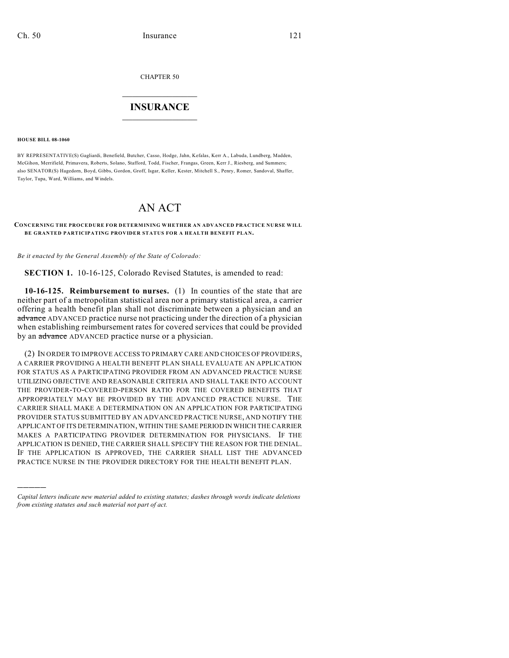CHAPTER 50

## $\overline{\phantom{a}}$  . The set of the set of the set of the set of the set of the set of the set of the set of the set of the set of the set of the set of the set of the set of the set of the set of the set of the set of the set o **INSURANCE**  $\frac{1}{2}$  ,  $\frac{1}{2}$  ,  $\frac{1}{2}$  ,  $\frac{1}{2}$  ,  $\frac{1}{2}$  ,  $\frac{1}{2}$  ,  $\frac{1}{2}$

**HOUSE BILL 08-1060**

)))))

BY REPRESENTATIVE(S) Gagliardi, Benefield, Butcher, Casso, Hodge, Jahn, Kefalas, Kerr A., Labuda, Lundberg, Madden, McGihon, Merrifield, Primavera, Roberts, Solano, Stafford, Todd, Fischer, Frangas, Green, Kerr J., Riesberg, and Summers; also SENATOR(S) Hagedorn, Boyd, Gibbs, Gordon, Groff, Isgar, Keller, Kester, Mitchell S., Penry, Romer, Sandoval, Shaffer, Taylor, Tupa, Ward, Williams, and Windels.

## AN ACT

## **CONCERNING THE PROCEDURE FOR DETERMINING WHETHER AN ADVANCED PRACTICE NURSE WILL BE GRANTED PARTICIPATING PROVIDER STATUS FOR A HEALTH BENEFIT PLAN.**

*Be it enacted by the General Assembly of the State of Colorado:*

**SECTION 1.** 10-16-125, Colorado Revised Statutes, is amended to read:

**10-16-125. Reimbursement to nurses.** (1) In counties of the state that are neither part of a metropolitan statistical area nor a primary statistical area, a carrier offering a health benefit plan shall not discriminate between a physician and an advance ADVANCED practice nurse not practicing under the direction of a physician when establishing reimbursement rates for covered services that could be provided by an advance ADVANCED practice nurse or a physician.

(2) IN ORDER TO IMPROVE ACCESS TO PRIMARY CARE AND CHOICES OF PROVIDERS, A CARRIER PROVIDING A HEALTH BENEFIT PLAN SHALL EVALUATE AN APPLICATION FOR STATUS AS A PARTICIPATING PROVIDER FROM AN ADVANCED PRACTICE NURSE UTILIZING OBJECTIVE AND REASONABLE CRITERIA AND SHALL TAKE INTO ACCOUNT THE PROVIDER-TO-COVERED-PERSON RATIO FOR THE COVERED BENEFITS THAT APPROPRIATELY MAY BE PROVIDED BY THE ADVANCED PRACTICE NURSE. THE CARRIER SHALL MAKE A DETERMINATION ON AN APPLICATION FOR PARTICIPATING PROVIDER STATUS SUBMITTED BY AN ADVANCED PRACTICE NURSE, AND NOTIFY THE APPLICANT OF ITS DETERMINATION, WITHIN THE SAME PERIOD IN WHICH THE CARRIER MAKES A PARTICIPATING PROVIDER DETERMINATION FOR PHYSICIANS. IF THE APPLICATION IS DENIED, THE CARRIER SHALL SPECIFY THE REASON FOR THE DENIAL. IF THE APPLICATION IS APPROVED, THE CARRIER SHALL LIST THE ADVANCED PRACTICE NURSE IN THE PROVIDER DIRECTORY FOR THE HEALTH BENEFIT PLAN.

*Capital letters indicate new material added to existing statutes; dashes through words indicate deletions from existing statutes and such material not part of act.*